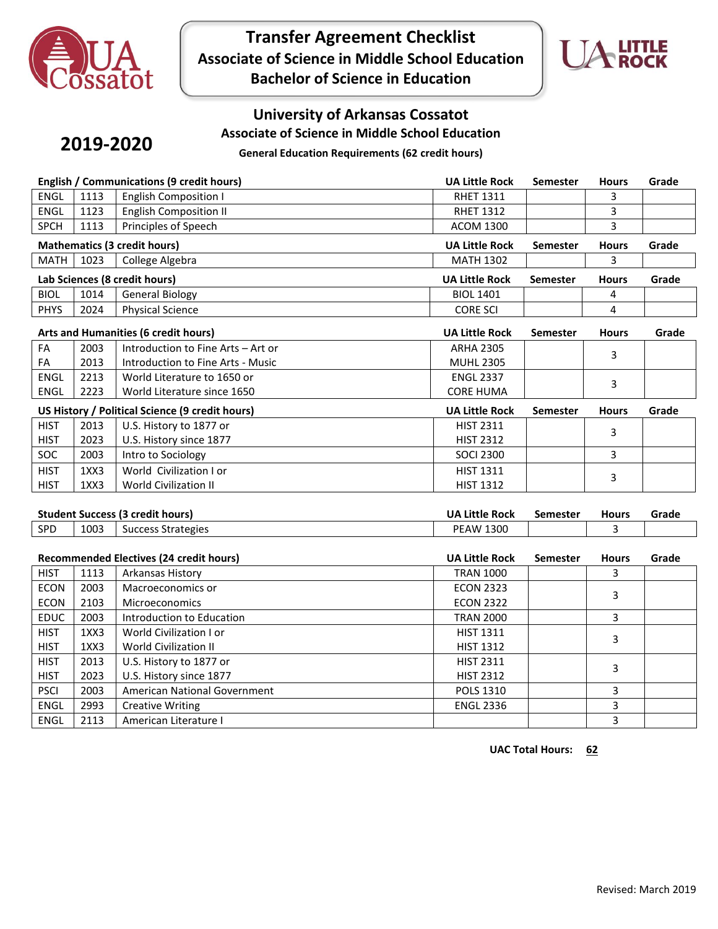

**Transfer Agreement Checklist Associate of Science in Middle School Education Bachelor of Science in Education**



## **University of Arkansas Cossatot**

**Associate of Science in Middle School Education**

# **2019-2020**

**General Education Requirements (62 credit hours)**

| English / Communications (9 credit hours) |      |                                                 | <b>UA Little Rock</b> | Semester        | <b>Hours</b> | Grade |
|-------------------------------------------|------|-------------------------------------------------|-----------------------|-----------------|--------------|-------|
| ENGL                                      | 1113 | <b>English Composition I</b>                    | <b>RHET 1311</b>      |                 | 3            |       |
| ENGL                                      | 1123 | <b>English Composition II</b>                   | <b>RHET 1312</b>      |                 | 3            |       |
| <b>SPCH</b>                               | 1113 | Principles of Speech                            | <b>ACOM 1300</b>      |                 | 3            |       |
|                                           |      | <b>Mathematics (3 credit hours)</b>             | <b>UA Little Rock</b> | <b>Semester</b> | <b>Hours</b> | Grade |
| <b>MATH</b>                               | 1023 | College Algebra                                 | <b>MATH 1302</b>      |                 | 3            |       |
|                                           |      | Lab Sciences (8 credit hours)                   | <b>UA Little Rock</b> | <b>Semester</b> | <b>Hours</b> | Grade |
| <b>BIOL</b>                               | 1014 | <b>General Biology</b>                          | <b>BIOL 1401</b>      |                 | 4            |       |
| <b>PHYS</b>                               | 2024 | <b>Physical Science</b>                         | <b>CORE SCI</b>       |                 | 4            |       |
|                                           |      | Arts and Humanities (6 credit hours)            | <b>UA Little Rock</b> | <b>Semester</b> | <b>Hours</b> | Grade |
| FA                                        | 2003 | Introduction to Fine Arts - Art or              | <b>ARHA 2305</b>      |                 |              |       |
| FA                                        | 2013 | Introduction to Fine Arts - Music               | <b>MUHL 2305</b>      |                 | 3            |       |
| <b>ENGL</b>                               | 2213 | World Literature to 1650 or                     | <b>ENGL 2337</b>      |                 |              |       |
| <b>ENGL</b>                               | 2223 | World Literature since 1650                     | <b>CORE HUMA</b>      |                 | 3            |       |
|                                           |      | US History / Political Science (9 credit hours) | <b>UA Little Rock</b> | Semester        | <b>Hours</b> | Grade |
| <b>HIST</b>                               | 2013 | U.S. History to 1877 or                         | <b>HIST 2311</b>      |                 | 3            |       |
| <b>HIST</b>                               | 2023 | U.S. History since 1877                         | <b>HIST 2312</b>      |                 |              |       |
| SOC                                       | 2003 | Intro to Sociology                              | <b>SOCI 2300</b>      |                 | 3            |       |
| <b>HIST</b>                               | 1XX3 | World Civilization I or                         | <b>HIST 1311</b>      |                 | 3            |       |
| <b>HIST</b>                               | 1XX3 | World Civilization II                           | <b>HIST 1312</b>      |                 |              |       |
|                                           |      |                                                 |                       |                 |              |       |
|                                           |      | <b>Student Success (3 credit hours)</b>         | <b>UA Little Rock</b> | <b>Semester</b> | <b>Hours</b> | Grade |
| SPD                                       | 1003 | <b>Success Strategies</b>                       | <b>PEAW 1300</b>      |                 | 3            |       |
|                                           |      | Recommended Electives (24 credit hours)         | <b>UA Little Rock</b> | <b>Semester</b> | <b>Hours</b> | Grade |
| <b>HIST</b>                               | 1113 | Arkansas History                                | <b>TRAN 1000</b>      |                 | 3            |       |
| <b>ECON</b>                               | 2003 | Macroeconomics or                               | <b>ECON 2323</b>      |                 |              |       |
| <b>ECON</b>                               | 2103 | Microeconomics                                  | <b>ECON 2322</b>      |                 | 3            |       |
| EDUC                                      | 2003 | Introduction to Education                       | <b>TRAN 2000</b>      |                 | 3            |       |
| <b>HIST</b>                               | 1XX3 | World Civilization I or                         | <b>HIST 1311</b>      |                 |              |       |
| <b>HIST</b>                               | 1XX3 | <b>World Civilization II</b>                    | <b>HIST 1312</b>      |                 | 3            |       |
| <b>HIST</b>                               | 2013 | U.S. History to 1877 or                         | <b>HIST 2311</b>      |                 |              |       |
| <b>HIST</b>                               | 2023 | U.S. History since 1877                         | <b>HIST 2312</b>      |                 | 3            |       |
| <b>PSCI</b>                               | 2003 | American National Government                    | POLS 1310             |                 | 3            |       |
| <b>ENGL</b>                               | 2993 | <b>Creative Writing</b>                         | <b>ENGL 2336</b>      |                 | 3            |       |
| <b>ENGL</b>                               | 2113 | American Literature I                           |                       |                 | 3            |       |

**UAC Total Hours: 62**